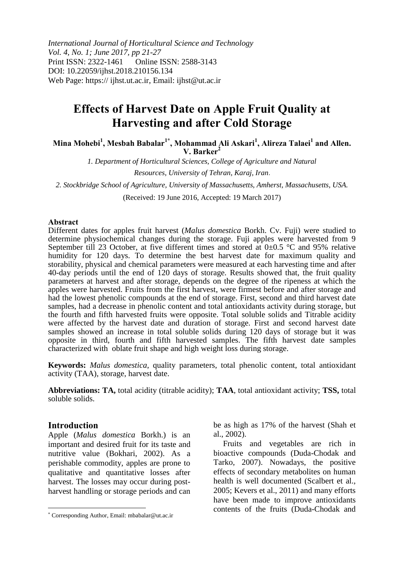*International Journal of Horticultural Science and Technology Vol. 4, No. 1; June 2017, pp 21-27* Print ISSN: 2322-1461 Online ISSN: 2588-3143 DOI: 10.22059/ijhst.2018.210156.134 Web Page: https:// ijhst.ut.ac.ir, Email: ijhst@ut.ac.ir

# **Effects of Harvest Date on Apple Fruit Quality at Harvesting and after Cold Storage**

**Mina Mohebi<sup>1</sup> , Mesbah Babalar1\* , Mohammad Ali Askari<sup>1</sup> , Alireza Talaei<sup>1</sup> and Allen. V. Barker<sup>2</sup>**

> *1. Department of Horticultural Sciences, College of Agriculture and Natural Resources, University of Tehran, Karaj, Iran*.

*2. Stockbridge School of Agriculture, University of Massachusetts, Amherst, Massachusetts, USA.*

(Received: 19 June 2016, Accepted: 19 March 2017)

#### **Abstract**

Different dates for apples fruit harvest (*Malus domestica* Borkh. Cv. Fuji) were studied to determine physiochemical changes during the storage. Fuji apples were harvested from 9 September till 23 October, at five different times and stored at  $0\pm0.5$  °C and 95% relative humidity for 120 days. To determine the best harvest date for maximum quality and storability, physical and chemical parameters were measured at each harvesting time and after 40-day periods until the end of 120 days of storage. Results showed that, the fruit quality parameters at harvest and after storage, depends on the degree of the ripeness at which the apples were harvested. Fruits from the first harvest, were firmest before and after storage and had the lowest phenolic compounds at the end of storage. First, second and third harvest date samples, had a decrease in phenolic content and total antioxidants activity during storage, but the fourth and fifth harvested fruits were opposite. Total soluble solids and Titrable acidity were affected by the harvest date and duration of storage. First and second harvest date samples showed an increase in total soluble solids during 120 days of storage but it was opposite in third, fourth and fifth harvested samples. The fifth harvest date samples characterized with oblate fruit shape and high weight loss during storage.

**Keywords:** *Malus domestica*, quality parameters, total phenolic content, total antioxidant activity (TAA), storage, harvest date.

**Abbreviations: TA,** total acidity (titrable acidity); **TAA**, total antioxidant activity; **TSS,** total soluble solids.

#### **Introduction**

 $\overline{\phantom{a}}$ 

Apple (*Malus domestica* Borkh.) is an important and desired fruit for its taste and nutritive value (Bokhari, 2002). As a perishable commodity, apples are prone to qualitative and quantitative losses after harvest. The losses may occur during postharvest handling or storage periods and can

be as high as 17% of the harvest (Shah et al., 2002).

Fruits and vegetables are rich in bioactive compounds (Duda-Chodak and Tarko, 2007). Nowadays, the positive effects of secondary metabolites on human health is well documented (Scalbert et al., 2005; Kevers et al., 2011) and many efforts have been made to improve antioxidants contents of the fruits (Duda-Chodak and

Corresponding Author, Email: mbabalar@ut.ac.ir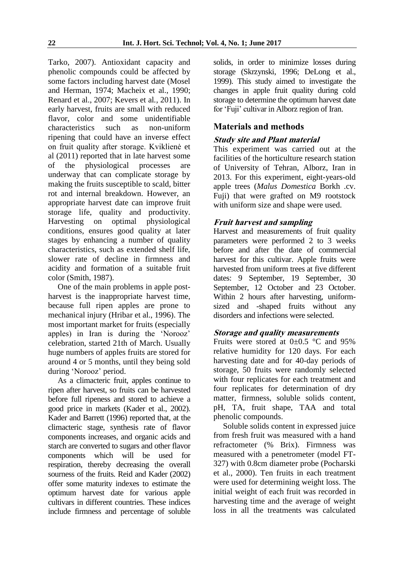Tarko, 2007). Antioxidant capacity and phenolic compounds could be affected by some factors including harvest date (Mosel and Herman, 1974; Macheix et al., 1990; Renard et al., 2007; Kevers et al*.,* 2011). In early harvest, fruits are small with reduced flavor, color and some unidentifiable characteristics such as non-uniform ripening that could have an inverse effect on fruit quality after storage. Kviklienė et al (2011) reported that in late harvest some<br>of the physiological processes are of the physiological processes are underway that can complicate storage by making the fruits susceptible to scald, bitter rot and internal breakdown. However, an appropriate harvest date can improve fruit storage life, quality and productivity. Harvesting on optimal physiological conditions, ensures good quality at later stages by enhancing a number of quality characteristics, such as extended shelf life, slower rate of decline in firmness and acidity and formation of a suitable fruit color (Smith, 1987).

One of the main problems in apple postharvest is the inappropriate harvest time, because full ripen apples are prone to mechanical injury (Hribar et al., 1996). The most important market for fruits (especially apples) in Iran is during the 'Norooz' celebration, started 21th of March. Usually huge numbers of apples fruits are stored for around 4 or 5 months, until they being sold during 'Norooz' period.

As a climacteric fruit, apples continue to ripen after harvest, so fruits can be harvested before full ripeness and stored to achieve a good price in markets (Kader et al., 2002). Kader and Barrett (1996) reported that, at the climacteric stage, synthesis rate of flavor components increases, and organic acids and starch are converted to sugars and other flavor components which will be used for respiration, thereby decreasing the overall sourness of the fruits. Reid and Kader (2002) offer some maturity indexes to estimate the optimum harvest date for various apple cultivars in different countries. These indices include firmness and percentage of soluble

solids, in order to minimize losses during storage (Skrzynski, 1996; DeLong et al., 1999). This study aimed to investigate the changes in apple fruit quality during cold storage to determine the optimum harvest date for 'Fuji' cultivar in Alborz region of Iran.

# **Materials and methods**

# **Study site and Plant material**

This experiment was carried out at the facilities of the horticulture research station of University of Tehran, Alborz, Iran in 2013. For this experiment, eight-years-old apple trees (*Malus Domestica* Borkh .cv. Fuji) that were grafted on M9 rootstock with uniform size and shape were used.

# **Fruit harvest and sampling**

Harvest and measurements of fruit quality parameters were performed 2 to 3 weeks before and after the date of commercial harvest for this cultivar. Apple fruits were harvested from uniform trees at five different dates: 9 September, 19 September, 30 September, 12 October and 23 October. Within 2 hours after harvesting, uniformsized and -shaped fruits without any disorders and infections were selected.

# **Storage and quality measurements**

Fruits were stored at  $0\pm0.5$  °C and 95% relative humidity for 120 days. For each harvesting date and for 40-day periods of storage, 50 fruits were randomly selected with four replicates for each treatment and four replicates for determination of dry matter, firmness, soluble solids content, pH, TA, fruit shape, TAA and total phenolic compounds.

Soluble solids content in expressed juice from fresh fruit was measured with a hand refractometer (% Brix). Firmness was measured with a penetrometer (model FT-327) with 0.8cm diameter probe (Pocharski et al., 2000). Ten fruits in each treatment were used for determining weight loss. The initial weight of each fruit was recorded in harvesting time and the average of weight loss in all the treatments was calculated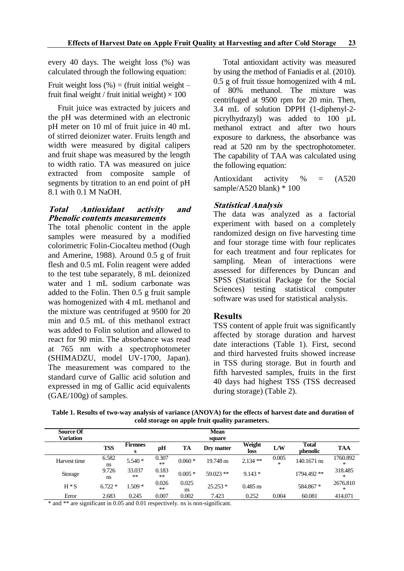every 40 days. The weight loss (%) was calculated through the following equation:

Fruit weight loss  $(\%)$  = (fruit initial weight – fruit final weight / fruit initial weight)  $\times$  100

Fruit juice was extracted by juicers and the pH was determined with an electronic pH meter on 10 ml of fruit juice in 40 mL of stirred deionizer water. Fruits length and width were measured by digital calipers and fruit shape was measured by the length to width ratio. TA was measured on juice extracted from composite sample of segments by titration to an end point of pH 8.1 with 0.1 M NaOH.

### **Total Antioxidant activity and Phenolic contents measurements**

The total phenolic content in the apple samples were measured by a modified colorimetric Folin-Ciocalteu method (Ough and Amerine, 1988). Around 0.5 g of fruit flesh and 0.5 mL Folin reagent were added to the test tube separately, 8 mL deionized water and 1 mL sodium carbonate was added to the Folin. Then 0.5 g fruit sample was homogenized with 4 mL methanol and the mixture was centrifuged at 9500 for 20 min and 0.5 mL of this methanol extract was added to Folin solution and allowed to react for 90 min. The absorbance was read at 765 nm with a spectrophotometer (SHIMADZU, model UV-1700, Japan). The measurement was compared to the standard curve of Gallic acid solution and expressed in mg of Gallic acid equivalents (GAE/100g) of samples.

Total antioxidant activity was measured by using the method of Faniadis et al. (2010). 0.5 g of fruit tissue homogenized with 4 mL of 80% methanol. The mixture was centrifuged at 9500 rpm for 20 min. Then, 3.4 mL of solution DPPH (1-diphenyl-2 picrylhydrazyl) was added to 100 µL methanol extract and after two hours exposure to darkness, the absorbance was read at 520 nm by the spectrophotometer. The capability of TAA was calculated using the following equation:

Antioxidant activity % = (A520 sample/A520 blank) \* 100

## **Statistical Analysis**

The data was analyzed as a factorial experiment with based on a completely randomized design on five harvesting time and four storage time with four replicates for each treatment and four replicates for sampling. Mean of interactions were assessed for differences by Duncan and SPSS (Statistical Package for the Social Sciences) testing statistical computer software was used for statistical analysis.

## **Results**

TSS content of apple fruit was significantly affected by storage duration and harvest date interactions (Table 1). First, second and third harvested fruits showed increase in TSS during storage. But in fourth and fifth harvested samples, fruits in the first 40 days had highest TSS (TSS decreased during storage) (Table 2).

**Table 1. Results of two-way analysis of variance (ANOVA) for the effects of harvest date and duration of cold storage on apple fruit quality parameters.**

| Source Of<br>Variation |             |                     |                |             | Mean<br>square |                |                 |                          |               |
|------------------------|-------------|---------------------|----------------|-------------|----------------|----------------|-----------------|--------------------------|---------------|
|                        | <b>TSS</b>  | <b>Firmnes</b><br>s | pH             | <b>TA</b>   | Dry matter     | Weight<br>loss | L/W             | <b>Total</b><br>phenolic | <b>TAA</b>    |
| Harvest time           | 6.582<br>ns | $5.540*$            | 0.307<br>$**$  | $0.060*$    | 19.748 ns      | $2.134$ **     | 0.005<br>$\ast$ | 140.1671 ns              | 1760.892<br>∗ |
| Storage                | 9.726<br>ns | 33.037<br>$***$     | 0.183<br>$***$ | $0.005*$    | $59.023$ **    | $9.143*$       |                 | 1794.492 **              | 318.485<br>*  |
| $H * S$                | $6.722*$    | $1.509*$            | 0.026<br>$***$ | 0.025<br>ns | $25.253*$      | $0.485$ ns     |                 | 584.867 *                | 2676.810<br>∗ |
| Error                  | 2.683       | 0.245               | 0.007          | 0.002       | 7.423          | 0.252          | 0.004           | 60.081                   | 414.071       |

\* and \*\* are significant in 0.05 and 0.01 respectively. ns is non-significant.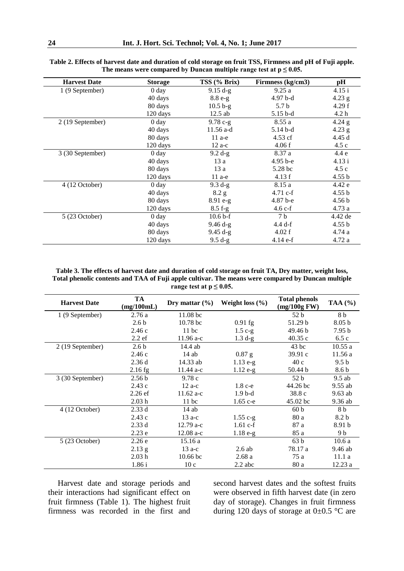| <b>Harvest Date</b> | <b>Storage</b>   | TSS (% Brix) | Firmness (kg/cm3) | pH                |
|---------------------|------------------|--------------|-------------------|-------------------|
| 1 (9 September)     | 0 <sub>day</sub> | $9.15 d-g$   | 9.25a             | 4.15 i            |
|                     | 40 days          | $8.8e-g$     | $4.97b-d$         | $4.23$ g          |
|                     | 80 days          | $10.5 b-g$   | 5.7 <sub>b</sub>  | 4.29 f            |
|                     | 120 days         | $12.5$ ab    | $5.15b-d$         | 4.2 h             |
| 2 (19 September)    | 0 <sub>day</sub> | $9.78c-g$    | 8.55a             | $4.24$ g          |
|                     | 40 days          | 11.56 a-d    | 5.14 b-d          | $4.23$ g          |
|                     | 80 days          | $11a-e$      | $4.53$ cf         | 4.45 d            |
|                     | 120 days         | $12$ a-c     | 4.06 f            | 4.5c              |
| 3 (30 September)    | 0 <sub>day</sub> | $9.2 d-g$    | 8.37 a            | 4.4 e             |
|                     | 40 days          | 13 a         | $4.95 b - e$      | 4.13 i            |
|                     | 80 days          | 13a          | 5.28 bc           | 4.5c              |
|                     | 120 days         | $11$ a-e     | 4.13 f            | 4.55 b            |
| 4 (12 October)      | 0 <sub>day</sub> | $9.3 d-g$    | 8.15 a            | 4.42 e            |
|                     | 40 days          | 8.2 g        | $4.71 c-f$        | 4.55 b            |
|                     | 80 days          | $8.91 e-g$   | 4.87 b-e          | 4.56 <sub>b</sub> |
|                     | 120 days         | $8.5 f-g$    | $4.6 c-f$         | 4.73 a            |
| $5(23$ October)     | 0 <sub>day</sub> | $10.6 b-f$   | 7 <sub>b</sub>    | 4.42 de           |
|                     | 40 days          | $9.46 d-g$   | $4.4$ d-f         | 4.55 b            |
|                     | 80 days          | $9.45 d-g$   | 4.02 f            | 4.74 a            |
|                     | 120 days         | $9.5 d-g$    | $4.14 e-f$        | 4.72 a            |

**Table 2. Effects of harvest date and duration of cold storage on fruit TSS, Firmness and pH of Fuji apple.** The means were compared by Duncan multiple range test at  $p \leq 0.05$ .

**Table 3. The effects of harvest date and duration of cold storage on fruit TA, Dry matter, weight loss, Total phenolic contents and TAA of Fuji apple cultivar. The means were compared by Duncan multiple**  range test at  $p \leq 0.05$ .

| <b>Harvest Date</b> | <b>TA</b><br>(mg/100mL) | Dry mattar $(\% )$  | Weight loss $(\% )$ | <b>Total phenols</b><br>$(mg/100g$ FW) | TAA $(%)$         |
|---------------------|-------------------------|---------------------|---------------------|----------------------------------------|-------------------|
| 1 (9 September)     | 2.76a                   | 11.08 <sub>bc</sub> |                     | 52 <sub>b</sub>                        | 8 b               |
|                     | 2.6 <sub>b</sub>        | 10.78 <sub>bc</sub> | $0.91$ fg           | 51.29 b                                | 8.05 <sub>b</sub> |
|                     | 2.46c                   | $11$ bc             | $1.5$ c-g           | 49.46 b                                | 7.95 <sub>b</sub> |
|                     | 2.2ef                   | $11.96$ a-c         | $1.3 d-g$           | 40.35c                                 | 6.5c              |
| 2 (19 September)    | 2.6 <sub>b</sub>        | 14.4 ab             |                     | $43$ bc                                | 10.55a            |
|                     | 2.46c                   | $14$ ab             | $0.87$ g            | 39.91c                                 | 11.56a            |
|                     | 2.36d                   | 14.33 ab            | $1.13 e-g$          | 40c                                    | 9.5 <sub>b</sub>  |
|                     | $2.16$ fg               | $11.44$ a-c         | $1.12 e-g$          | 50.44 b                                | 8.6 b             |
| 3 (30 September)    | 2.56 <sub>b</sub>       | 9.78c               |                     | 52 <sub>b</sub>                        | $9.5$ ab          |
|                     | 2.43c                   | $12a-c$             | $1.8c-e$            | 44.26 bc                               | $9.55$ ab         |
|                     | $2.26$ ef               | 11.62 a-c           | $1.9b-d$            | 38.8c                                  | 9.63 ab           |
|                     | 2.03h                   | $11$ bc             | $1.65$ c-e          | $45.02$ bc                             | $9.36$ ab         |
| 4 (12 October)      | 2.33d                   | $14$ ab             |                     | 60 <sub>b</sub>                        | 8 b               |
|                     | 2.43c                   | $13a-c$             | $1.55 c-g$          | 80 a                                   | 8.2 <sub>b</sub>  |
|                     | 2.33d                   | $12.79a-c$          | $1.61 c-f$          | 87 a                                   | 8.91 b            |
|                     | 2.23e                   | $12.08a-c$          | $1.18 e-g$          | 85 a                                   | 9 b               |
| 5(23 October)       | 2.26e                   | 15.16 a             |                     | 63 <sub>b</sub>                        | 10.6a             |
|                     | $2.13$ g                | $13a-c$             | $2.6$ ab            | 78.17 a                                | $9.46$ ab         |
|                     | 2.03h                   | 10.66 <sub>bc</sub> | 2.68a               | 75 a                                   | 11.1a             |
|                     | 1.86 i                  | 10c                 | $2.2$ abc           | 80 a                                   | 12.23a            |

Harvest date and storage periods and their interactions had significant effect on fruit firmness (Table 1). The highest fruit firmness was recorded in the first and second harvest dates and the softest fruits were observed in fifth harvest date (in zero day of storage). Changes in fruit firmness during 120 days of storage at  $0\pm 0.5$  °C are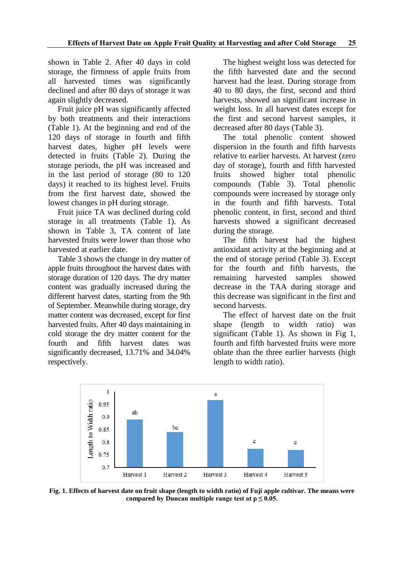shown in Table 2. After 40 days in cold storage, the firmness of apple fruits from all harvested times was significantly declined and after 80 days of storage it was again slightly decreased.

Fruit juice pH was significantly affected by both treatments and their interactions (Table 1). At the beginning and end of the 120 days of storage in fourth and fifth harvest dates, higher pH levels were detected in fruits (Table 2). During the storage periods, the pH was increased and in the last period of storage (80 to 120 days) it reached to its highest level. Fruits from the first harvest date, showed the lowest changes in pH during storage.

Fruit juice TA was declined during cold storage in all treatments (Table 1). As shown in Table 3, TA content of late harvested fruits were lower than those who harvested at earlier date.

Table 3 shows the change in dry matter of apple fruits throughout the harvest dates with storage duration of 120 days. The dry matter content was gradually increased during the different harvest dates, starting from the 9th of September. Meanwhile during storage, dry matter content was decreased, except for first harvested fruits. After 40 days maintaining in cold storage the dry matter content for the fourth and fifth harvest dates was significantly decreased, 13.71% and 34.04% respectively.

The highest weight loss was detected for the fifth harvested date and the second harvest had the least. During storage from 40 to 80 days, the first, second and third harvests, showed an significant increase in weight loss. In all harvest dates except for the first and second harvest samples, it decreased after 80 days (Table 3).

The total phenolic content showed dispersion in the fourth and fifth harvests relative to earlier harvests. At harvest (zero day of storage), fourth and fifth harvested fruits showed higher total phenolic compounds (Table 3). Total phenolic compounds were increased by storage only in the fourth and fifth harvests. Total phenolic content, in first, second and third harvests showed a significant decreased during the storage.

The fifth harvest had the highest antioxidant activity at the beginning and at the end of storage period (Table 3). Except for the fourth and fifth harvests, the remaining harvested samples showed decrease in the TAA during storage and this decrease was significant in the first and second harvests.

The effect of harvest date on the fruit shape (length to width ratio) was significant (Table 1). As shown in Fig 1, fourth and fifth harvested fruits were more oblate than the three earlier harvests (high length to width ratio).



**Fig. 1. Effects of harvest date on fruit shape (length to width ratio) of Fuji apple cultivar. The means were**  compared by Duncan multiple range test at  $p \leq 0.05$ .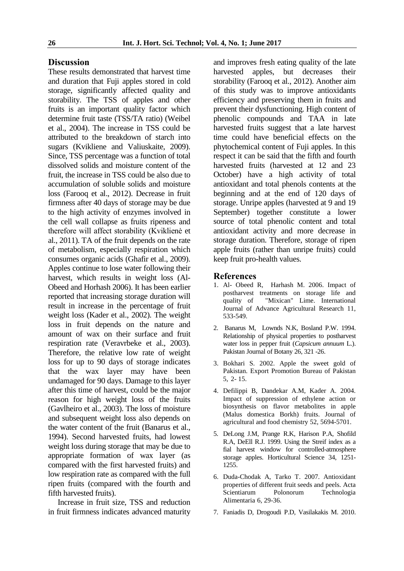#### **Discussion**

These results demonstrated that harvest time and duration that Fuji apples stored in cold storage, significantly affected quality and storability. The TSS of apples and other fruits is an important quality factor which determine fruit taste (TSS/TA ratio) (Weibel et al., 2004). The increase in TSS could be attributed to the breakdown of starch into sugars (Kvikliene and Valiuskaite, 2009). Since, TSS percentage was a function of total dissolved solids and moisture content of the fruit, the increase in TSS could be also due to accumulation of soluble solids and moisture loss (Farooq et al., 2012). Decrease in fruit firmness after 40 days of storage may be due to the high activity of enzymes involved in the cell wall collapse as fruits ripeness and therefore will affect storability (Kviklienė et al., 2011). TA of the fruit depends on the rate of metabolism, especially respiration which consumes organic acids (Ghafir et al., 2009). Apples continue to lose water following their harvest, which results in weight loss (Al-Obeed and Horhash 2006). It has been earlier reported that increasing storage duration will result in increase in the percentage of fruit weight loss (Kader et al., 2002). The weight loss in fruit depends on the nature and amount of wax on their surface and fruit respiration rate (Veravrbeke et al., 2003). Therefore, the relative low rate of weight loss for up to 90 days of storage indicates that the wax layer may have been undamaged for 90 days. Damage to this layer after this time of harvest, could be the major reason for high weight loss of the fruits (Gavlheiro et al., 2003). The loss of moisture and subsequent weight loss also depends on the water content of the fruit (Banarus et al., 1994). Second harvested fruits, had lowest weight loss during storage that may be due to appropriate formation of wax layer (as compared with the first harvested fruits) and low respiration rate as compared with the full ripen fruits (compared with the fourth and fifth harvested fruits).

Increase in fruit size, TSS and reduction in fruit firmness indicates advanced maturity and improves fresh eating quality of the late harvested apples, but decreases their storability (Farooq et al., 2012). Another aim of this study was to improve antioxidants efficiency and preserving them in fruits and prevent their dysfunctioning. High content of phenolic compounds and TAA in late harvested fruits suggest that a late harvest time could have beneficial effects on the phytochemical content of Fuji apples. In this respect it can be said that the fifth and fourth harvested fruits (harvested at 12 and 23 October) have a high activity of total antioxidant and total phenols contents at the beginning and at the end of 120 days of storage. Unripe apples (harvested at 9 and 19 September) together constitute a lower source of total phenolic content and total antioxidant activity and more decrease in storage duration. Therefore, storage of ripen apple fruits (rather than unripe fruits) could keep fruit pro-health values.

#### **References**

- 1. Al- Obeed R, Harhash M. 2006. Impact of postharvest treatments on storage life and quality of "Mixican" Lime. International Journal of Advance Agricultural Research 11, 533-549.
- 2. Banarus M, Lownds N.K, Bosland P.W. 1994. Relationship of physical properties to postharvest water loss in pepper fruit (*Capsicum annuum* L.). Pakistan Journal of Botany 26, 321 -26.
- 3. Bokhari S. 2002. Apple the sweet gold of Pakistan. Export Promotion Bureau of Pakistan 5, 2- 15.
- 4. Defilippi B, Dandekar A.M, Kader A. 2004. Impact of suppression of ethylene action or biosynthesis on flavor metabolites in apple (Malus domestica Borkh) fruits. Journal of agricultural and food chemistry 52, 5694-5701.
- 5. DeLong J.M, Prange R.K, Harison P.A, Shofild R.A, DeEll R.J. 1999. Using the Streif index as a fial harvest window for controlled-atmosphere storage apples. Horticultural Science 34, 1251- 1255.
- 6. Duda-Chodak A, Tarko T. 2007. Antioxidant properties of different fruit seeds and peels. Acta Scientiarum Polonorum Technologia Alimentaria 6, 29-36.
- 7. Faniadis D, Drogoudi P.D, Vasilakakis M. 2010.